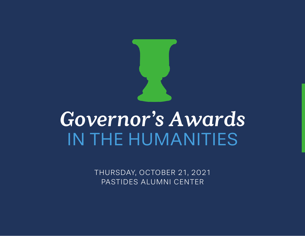

# *Governor's Awards* IN THE HUMANITIES

THURSDAY, OCTOBER 21, 2021 PASTIDES ALUMNI CENTER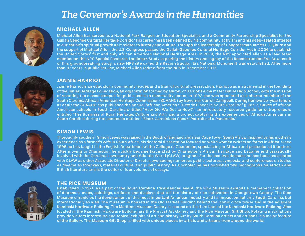## *The Governor's Awards in the Humanities*



#### **MICHAEL ALLEN**

Michael Allen has served as a National Park Ranger, an Education Specialist, and a Community Partnership Specialist for the Gullah Geechee Cultural Heritage Corridor. His career has been defined by his community activism and his deep-seated interest in our nation's spiritual growth as it relates to history and culture. Through the leadership of Congressman James E. Clyburn and the support of Michael Allen, the U.S. Congress passed the Gullah Geechee Cultural Heritage Corridor Act in 2006 to establish the United States' first and only African American National Heritage Area. In 2014, the NPS appointed Allen as a lead team member on the NPS Special Resource Landmark Study exploring the history and legacy of the Reconstruction Era. As a result of this groundbreaking study, a new NPS site called the Reconstruction Era National Monument was established. After more than 37 years in public service, Michael Allen retired from the NPS in December 2017.



#### **JANNIE HARRIOT**

Jannie Harriot is an educator, a community leader, and a titan of cultural preservation. Harriot was instrumental in the founding of the Butler Heritage Foundation, an organization formed by alumni of Harriot's alma mater, Butler High School, with the mission of restoring the closed campus for public use as a community center. In 1993 she was appointed as a charter member of the South Carolina African American Heritage Commission (SCAAHC) by Governor Carroll Campbell. During her twelve-year tenure as chair, the SCAAHC has published the annual "African American Historic Places in South Carolina" guide; a survey of African American schools in South Carolina entitled "How Did We Get to Now?"; an introductory resource guide for entrepreneurs entitled "The Business of Rural Heritage, Culture and Art"; and a project capturing the experiences of African Americans in South Carolina during the pandemic entitled "Black Carolinians Speak: Portraits of a Pandemic."



#### **SIMON LEWIS**

Thoroughly southern, Simon Lewis was raised in the South of England and near Cape Town, South Africa. Inspired by his mother's experience as a farmer's wife in South Africa, his doctoral dissertation focused on white women writers on farms in Africa. Since 1996 he has taught in the English Department at the College of Charleston, specializing in African and postcolonial literature. After moving to Charleston, he quickly became fascinated by Charleston's African heritage and became enthusiastically involved with the Carolina Lowcountry and Atlantic World (CLAW) program. For the last two decades he has been associated with CLAW as either Associate Director or Director, overseeing numerous public lectures, symposia, and conferences on topics as diverse as foodways, material culture, and public history. As a scholar, he has published two monographs on African and British literature and is the editor of four volumes of essays.



#### **THE RICE MUSEUM**

Established in 1970 as a part of the South Carolina Tricentennial event, the Rice Museum exhibits a permanent collection of dioramas, maps, paintings, artifacts and displays that tell the history of rice cultivation in Georgetown County. The Rice Museum chronicles the development of this most important American industry and its impact on not only South Carolina, but internationally as well. The museum is housed in the Old Market Building behind the iconic clock tower and in the adjacent Kaminski Hardware Building. The Maritime Museum Gallery is located on the third floor of the Kaminski Hardware Building. Also located in the Kaminski Hardware Building are the Prevost Art Gallery and the Rice Museum Gift Shop. Rotating installations provide visitors interesting and topical exhibits of art and history. Art by South Carolina artists and artisans is a major feature of the Gallery. The Museum Gift Shop is filled with unique pieces by artists and artisans from around the world.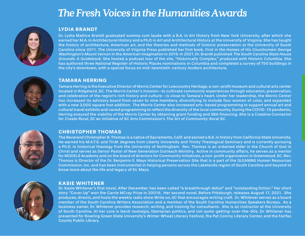## *The Fresh Voices in the Humanities Awards*



#### **LYDIA BRANDT**

Dr. Lydia Mattice Brandt graduated summa cum laude with a B.A. in Art History from New York University, after which she earned her M.A. in Architectural History and a Ph.D in Art and Architectural History at the University of Virginia. She has taught the history of architecture, American art, and the theories and methods of historic preservation at the University of South Carolina since 2011. The University of Virginia Press published her first book, First in the Homes of His Countrymen: George Washington's Mount Vernon in the American Imagination in 2016. In 2021, Dr. Brandt published The South Carolina State House Grounds: A Guidebook. She hosted a podcast tour of the site, "Historically Complex," produced with Historic Columbia. She has authored three National Register of Historic Places nominations in Columbia and completed a survey of 750 buildings in the city's downtown, with a special focus on mid-twentieth-century modern architecture.



#### **TAMARA HERRING**

Tamara Herring is the Executive Director of Morris Center for Lowcountry Heritage, a non-profit museum and cultural arts center located in Ridgeland, SC. The Morris Center's mission—to cultivate community experiences through education, preservation, and celebration of the region's rich history and culture--is close to Tamara's heart. Under her leadership, the Morris Center has increased its advisory board from seven to nine members, diversifying to include four women of color, and expanded with a new 3,000 square foot addition. The Morris Center also increased arts-based programming to support annual art and cultural travel exhibits and varied programming to reflect the diversity of the local community. During the COVID-19 pandemic, Herring ensured the viability of the Morris Center by obtaining grant funding and SBA financing. She is a Creative Connector for Create Rural, SC an initiative of SC Arts Commission's The Art of Community: Rural SC.



#### **CHRISTOPHER THOMAS**

The Reverend Christopher B. Thomas is a native of Sacramento, Calif. and earned a B.A. in history from California State University. He earned his M.A.T.S. and Th.M. degrees from Liberty University and Trinity Theological Seminary and is currently pursuing a Ph.D. in historical theology from the University of Nottingham. Rev. Thomas is an ordained elder in the Church of God in Christ and serves as Senior Pastor of New Generation Outreach Ministry. Active in community affairs, he serves as a mentor for MODELS Academy and on the board of directors for Community Initiatives, a non-profit organization in Greenwood, SC. Rev. Thomas is Director of the Dr. Benjamin E. Mays Historical Preservation Site that is a part of the GLEAMNS Human Resources Commission. Inc. and has been instrumental in helping persons across the Lakelands region of South Carolina and beyond to know more about the life and legacy of Dr. Mays.



#### **KASIE WHITENER**

Dr. Kasie Whitener's first novel, After December, has been called "a breakthrough debut" and "outstanding fiction." Her short story "Cover Up" won the Carrie MCray Prize in 20016. Her second novel, Before Pittsburgh, releases August 17, 2021. She produces, directs, and hosts the weekly radio show Write on, SC that encourages writing craft. Dr. Whitener serves as a board member of the South Carolina Writers Association and a member of the South Carolina Humanities Speakers Bureau. As a business owner, Dr. Whitener provides research, writing, and training for consultants. She is an instructor at the University of South Carolina. At her core is GenX nostalgia, libertarian politics, and not-quite-getting-over-the-90s. Dr. Whitener has presented for Bowling Green State University's Winter Wheat Literary Festival, the Pat Conroy Literary Center, and the Fairfax County Public Library.